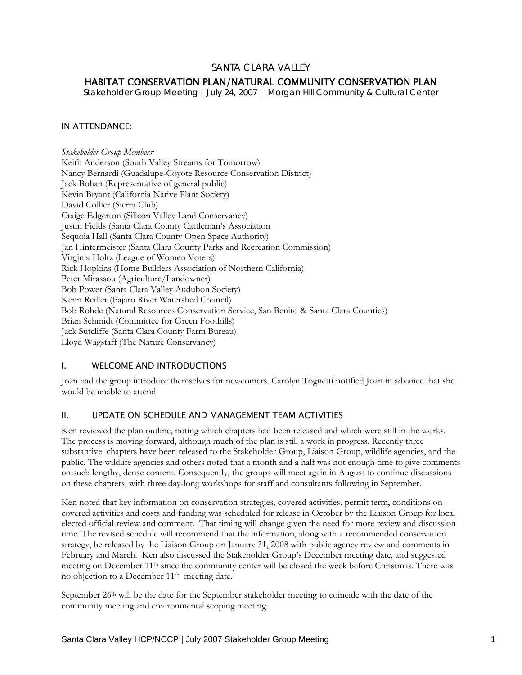## SANTA CLARA VALLEY

# HABITAT CONSERVATION PLAN/NATURAL COMMUNITY CONSERVATION PLAN

*Stakeholder Group Meeting |July 24, 2007 | Morgan Hill Community & Cultural Center* 

### IN ATTENDANCE:

*Stakeholder Group Members:*  Keith Anderson (South Valley Streams for Tomorrow) Nancy Bernardi (Guadalupe-Coyote Resource Conservation District) Jack Bohan (Representative of general public) Kevin Bryant (California Native Plant Society) David Collier (Sierra Club) Craige Edgerton (Silicon Valley Land Conservancy) Justin Fields (Santa Clara County Cattleman's Association Sequoia Hall (Santa Clara County Open Space Authority) Jan Hintermeister (Santa Clara County Parks and Recreation Commission) Virginia Holtz (League of Women Voters) Rick Hopkins (Home Builders Association of Northern California) Peter Mirassou (Agriculture/Landowner) Bob Power (Santa Clara Valley Audubon Society) Kenn Reiller (Pajaro River Watershed Council) Bob Rohde (Natural Resources Conservation Service, San Benito & Santa Clara Counties) Brian Schmidt (Committee for Green Foothills) Jack Sutcliffe (Santa Clara County Farm Bureau) Lloyd Wagstaff (The Nature Conservancy)

## I. WELCOME AND INTRODUCTIONS

Joan had the group introduce themselves for newcomers. Carolyn Tognetti notified Joan in advance that she would be unable to attend.

### II. UPDATE ON SCHEDULE AND MANAGEMENT TEAM ACTIVITIES

Ken reviewed the plan outline, noting which chapters had been released and which were still in the works. The process is moving forward, although much of the plan is still a work in progress. Recently three substantive chapters have been released to the Stakeholder Group, Liaison Group, wildlife agencies, and the public. The wildlife agencies and others noted that a month and a half was not enough time to give comments on such lengthy, dense content. Consequently, the groups will meet again in August to continue discussions on these chapters, with three day-long workshops for staff and consultants following in September.

Ken noted that key information on conservation strategies, covered activities, permit term, conditions on covered activities and costs and funding was scheduled for release in October by the Liaison Group for local elected official review and comment. That timing will change given the need for more review and discussion time. The revised schedule will recommend that the information, along with a recommended conservation strategy, be released by the Liaison Group on January 31, 2008 with public agency review and comments in February and March. Ken also discussed the Stakeholder Group's December meeting date, and suggested meeting on December 11th since the community center will be closed the week before Christmas. There was no objection to a December 11th meeting date.

September 26<sup>th</sup> will be the date for the September stakeholder meeting to coincide with the date of the community meeting and environmental scoping meeting.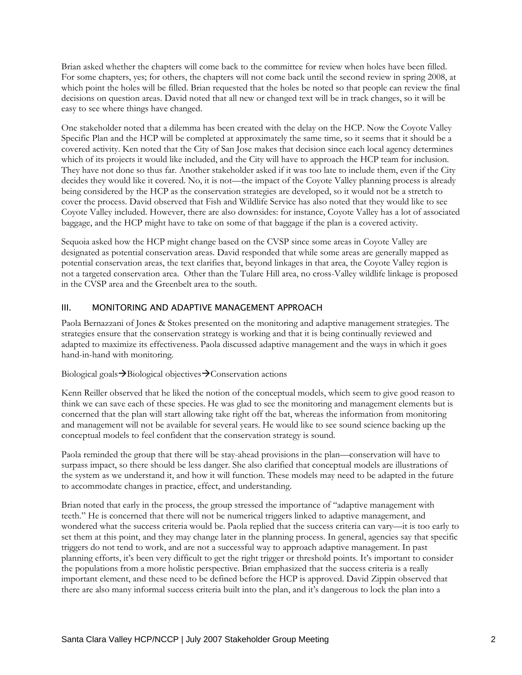Brian asked whether the chapters will come back to the committee for review when holes have been filled. For some chapters, yes; for others, the chapters will not come back until the second review in spring 2008, at which point the holes will be filled. Brian requested that the holes be noted so that people can review the final decisions on question areas. David noted that all new or changed text will be in track changes, so it will be easy to see where things have changed.

One stakeholder noted that a dilemma has been created with the delay on the HCP. Now the Coyote Valley Specific Plan and the HCP will be completed at approximately the same time, so it seems that it should be a covered activity. Ken noted that the City of San Jose makes that decision since each local agency determines which of its projects it would like included, and the City will have to approach the HCP team for inclusion. They have not done so thus far. Another stakeholder asked if it was too late to include them, even if the City decides they would like it covered. No, it is not—the impact of the Coyote Valley planning process is already being considered by the HCP as the conservation strategies are developed, so it would not be a stretch to cover the process. David observed that Fish and Wildlife Service has also noted that they would like to see Coyote Valley included. However, there are also downsides: for instance, Coyote Valley has a lot of associated baggage, and the HCP might have to take on some of that baggage if the plan is a covered activity.

Sequoia asked how the HCP might change based on the CVSP since some areas in Coyote Valley are designated as potential conservation areas. David responded that while some areas are generally mapped as potential conservation areas, the text clarifies that, beyond linkages in that area, the Coyote Valley region is not a targeted conservation area. Other than the Tulare Hill area, no cross-Valley wildlife linkage is proposed in the CVSP area and the Greenbelt area to the south.

## III. MONITORING AND ADAPTIVE MANAGEMENT APPROACH

Paola Bernazzani of Jones & Stokes presented on the monitoring and adaptive management strategies. The strategies ensure that the conservation strategy is working and that it is being continually reviewed and adapted to maximize its effectiveness. Paola discussed adaptive management and the ways in which it goes hand-in-hand with monitoring.

#### Biological goals  $\rightarrow$  Biological objectives  $\rightarrow$  Conservation actions

Kenn Reiller observed that he liked the notion of the conceptual models, which seem to give good reason to think we can save each of these species. He was glad to see the monitoring and management elements but is concerned that the plan will start allowing take right off the bat, whereas the information from monitoring and management will not be available for several years. He would like to see sound science backing up the conceptual models to feel confident that the conservation strategy is sound.

Paola reminded the group that there will be stay-ahead provisions in the plan—conservation will have to surpass impact, so there should be less danger. She also clarified that conceptual models are illustrations of the system as we understand it, and how it will function. These models may need to be adapted in the future to accommodate changes in practice, effect, and understanding.

Brian noted that early in the process, the group stressed the importance of "adaptive management with teeth." He is concerned that there will not be numerical triggers linked to adaptive management, and wondered what the success criteria would be. Paola replied that the success criteria can vary—it is too early to set them at this point, and they may change later in the planning process. In general, agencies say that specific triggers do not tend to work, and are not a successful way to approach adaptive management. In past planning efforts, it's been very difficult to get the right trigger or threshold points. It's important to consider the populations from a more holistic perspective. Brian emphasized that the success criteria is a really important element, and these need to be defined before the HCP is approved. David Zippin observed that there are also many informal success criteria built into the plan, and it's dangerous to lock the plan into a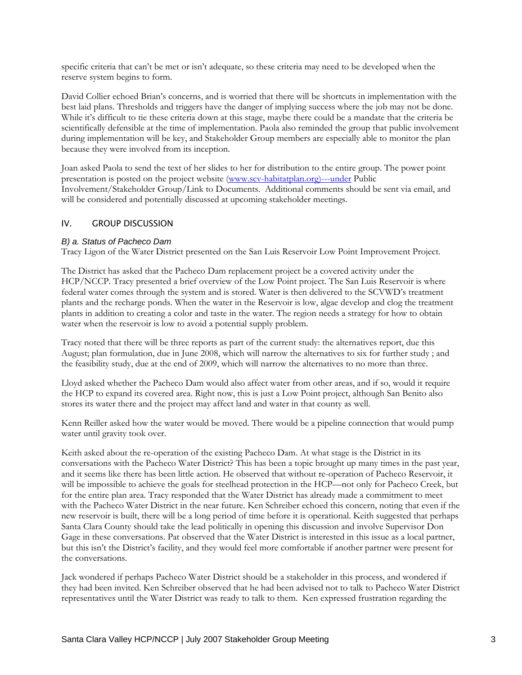specific criteria that can't be met or isn't adequate, so these criteria may need to be developed when the reserve system begins to form.

David Collier echoed Brian's concerns, and is worried that there will be shortcuts in implementation with the best laid plans. Thresholds and triggers have the danger of implying success where the job may not be done. While it's difficult to tie these criteria down at this stage, maybe there could be a mandate that the criteria be scientifically defensible at the time of implementation. Paola also reminded the group that public involvement during implementation will be key, and Stakeholder Group members are especially able to monitor the plan because they were involved from its inception.

Joan asked Paola to send the text of her slides to her for distribution to the entire group. The power point presentation is posted on the project website (www.scv-habitatplan.org)---under Public Involvement/Stakeholder Group/Link to Documents. Additional comments should be sent via email, and will be considered and potentially discussed at upcoming stakeholder meetings.

### IV. GROUP DISCUSSION

#### *B) a. Status of Pacheco Dam*

Tracy Ligon of the Water District presented on the San Luis Reservoir Low Point Improvement Project.

The District has asked that the Pacheco Dam replacement project be a covered activity under the HCP/NCCP. Tracy presented a brief overview of the Low Point project. The San Luis Reservoir is where federal water comes through the system and is stored. Water is then delivered to the SCVWD's treatment plants and the recharge ponds. When the water in the Reservoir is low, algae develop and clog the treatment plants in addition to creating a color and taste in the water. The region needs a strategy for how to obtain water when the reservoir is low to avoid a potential supply problem.

Tracy noted that there will be three reports as part of the current study: the alternatives report, due this August; plan formulation, due in June 2008, which will narrow the alternatives to six for further study ; and the feasibility study, due at the end of 2009, which will narrow the alternatives to no more than three.

Lloyd asked whether the Pacheco Dam would also affect water from other areas, and if so, would it require the HCP to expand its covered area. Right now, this is just a Low Point project, although San Benito also stores its water there and the project may affect land and water in that county as well.

Kenn Reiller asked how the water would be moved. There would be a pipeline connection that would pump water until gravity took over.

Keith asked about the re-operation of the existing Pacheco Dam. At what stage is the District in its conversations with the Pacheco Water District? This has been a topic brought up many times in the past year, and it seems like there has been little action. He observed that without re-operation of Pacheco Reservoir, it will be impossible to achieve the goals for steelhead protection in the HCP—not only for Pacheco Creek, but for the entire plan area. Tracy responded that the Water District has already made a commitment to meet with the Pacheco Water District in the near future. Ken Schreiber echoed this concern, noting that even if the new reservoir is built, there will be a long period of time before it is operational. Keith suggested that perhaps Santa Clara County should take the lead politically in opening this discussion and involve Supervisor Don Gage in these conversations. Pat observed that the Water District is interested in this issue as a local partner, but this isn't the District's facility, and they would feel more comfortable if another partner were present for the conversations.

Jack wondered if perhaps Pacheco Water District should be a stakeholder in this process, and wondered if they had been invited. Ken Schreiber observed that he had been advised not to talk to Pacheco Water District representatives until the Water District was ready to talk to them. Ken expressed frustration regarding the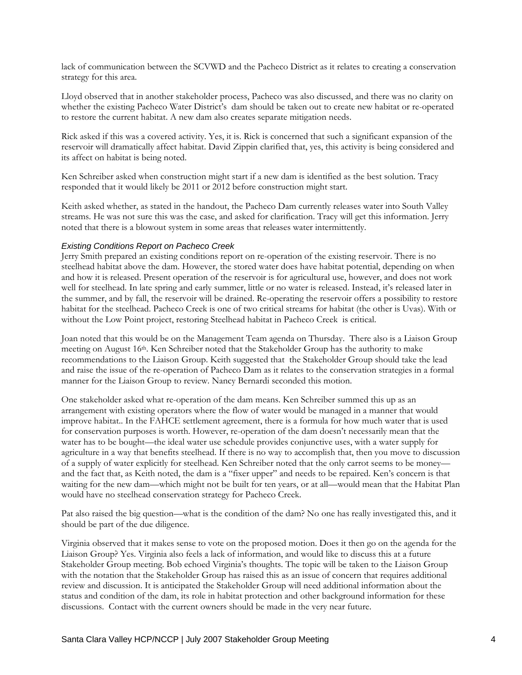lack of communication between the SCVWD and the Pacheco District as it relates to creating a conservation strategy for this area.

Lloyd observed that in another stakeholder process, Pacheco was also discussed, and there was no clarity on whether the existing Pacheco Water District's dam should be taken out to create new habitat or re-operated to restore the current habitat. A new dam also creates separate mitigation needs.

Rick asked if this was a covered activity. Yes, it is. Rick is concerned that such a significant expansion of the reservoir will dramatically affect habitat. David Zippin clarified that, yes, this activity is being considered and its affect on habitat is being noted.

Ken Schreiber asked when construction might start if a new dam is identified as the best solution. Tracy responded that it would likely be 2011 or 2012 before construction might start.

Keith asked whether, as stated in the handout, the Pacheco Dam currently releases water into South Valley streams. He was not sure this was the case, and asked for clarification. Tracy will get this information. Jerry noted that there is a blowout system in some areas that releases water intermittently.

#### *Existing Conditions Report on Pacheco Creek*

Jerry Smith prepared an existing conditions report on re-operation of the existing reservoir. There is no steelhead habitat above the dam. However, the stored water does have habitat potential, depending on when and how it is released. Present operation of the reservoir is for agricultural use, however, and does not work well for steelhead. In late spring and early summer, little or no water is released. Instead, it's released later in the summer, and by fall, the reservoir will be drained. Re-operating the reservoir offers a possibility to restore habitat for the steelhead. Pacheco Creek is one of two critical streams for habitat (the other is Uvas). With or without the Low Point project, restoring Steelhead habitat in Pacheco Creek is critical.

Joan noted that this would be on the Management Team agenda on Thursday. There also is a Liaison Group meeting on August 16th. Ken Schreiber noted that the Stakeholder Group has the authority to make recommendations to the Liaison Group. Keith suggested that the Stakeholder Group should take the lead and raise the issue of the re-operation of Pacheco Dam as it relates to the conservation strategies in a formal manner for the Liaison Group to review. Nancy Bernardi seconded this motion.

One stakeholder asked what re-operation of the dam means. Ken Schreiber summed this up as an arrangement with existing operators where the flow of water would be managed in a manner that would improve habitat.. In the FAHCE settlement agreement, there is a formula for how much water that is used for conservation purposes is worth. However, re-operation of the dam doesn't necessarily mean that the water has to be bought—the ideal water use schedule provides conjunctive uses, with a water supply for agriculture in a way that benefits steelhead. If there is no way to accomplish that, then you move to discussion of a supply of water explicitly for steelhead. Ken Schreiber noted that the only carrot seems to be money and the fact that, as Keith noted, the dam is a "fixer upper" and needs to be repaired. Ken's concern is that waiting for the new dam—which might not be built for ten years, or at all—would mean that the Habitat Plan would have no steelhead conservation strategy for Pacheco Creek.

Pat also raised the big question—what is the condition of the dam? No one has really investigated this, and it should be part of the due diligence.

Virginia observed that it makes sense to vote on the proposed motion. Does it then go on the agenda for the Liaison Group? Yes. Virginia also feels a lack of information, and would like to discuss this at a future Stakeholder Group meeting. Bob echoed Virginia's thoughts. The topic will be taken to the Liaison Group with the notation that the Stakeholder Group has raised this as an issue of concern that requires additional review and discussion. It is anticipated the Stakeholder Group will need additional information about the status and condition of the dam, its role in habitat protection and other background information for these discussions. Contact with the current owners should be made in the very near future.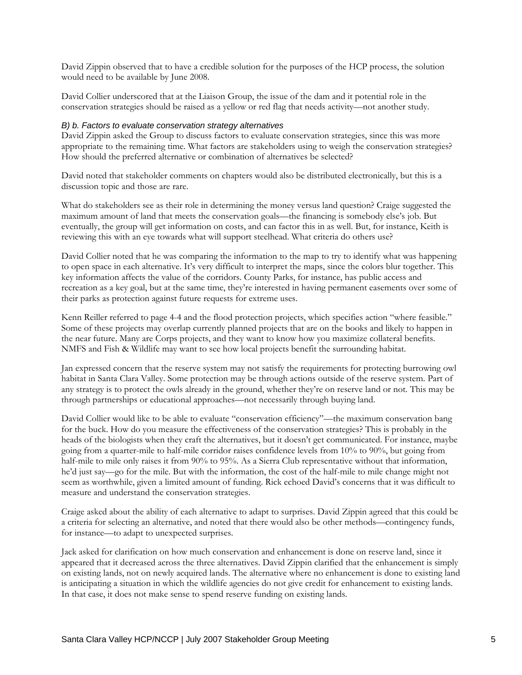David Zippin observed that to have a credible solution for the purposes of the HCP process, the solution would need to be available by June 2008.

David Collier underscored that at the Liaison Group, the issue of the dam and it potential role in the conservation strategies should be raised as a yellow or red flag that needs activity—not another study.

#### *B) b. Factors to evaluate conservation strategy alternatives*

David Zippin asked the Group to discuss factors to evaluate conservation strategies, since this was more appropriate to the remaining time. What factors are stakeholders using to weigh the conservation strategies? How should the preferred alternative or combination of alternatives be selected?

David noted that stakeholder comments on chapters would also be distributed electronically, but this is a discussion topic and those are rare.

What do stakeholders see as their role in determining the money versus land question? Craige suggested the maximum amount of land that meets the conservation goals—the financing is somebody else's job. But eventually, the group will get information on costs, and can factor this in as well. But, for instance, Keith is reviewing this with an eye towards what will support steelhead. What criteria do others use?

David Collier noted that he was comparing the information to the map to try to identify what was happening to open space in each alternative. It's very difficult to interpret the maps, since the colors blur together. This key information affects the value of the corridors. County Parks, for instance, has public access and recreation as a key goal, but at the same time, they're interested in having permanent easements over some of their parks as protection against future requests for extreme uses.

Kenn Reiller referred to page 4-4 and the flood protection projects, which specifies action "where feasible." Some of these projects may overlap currently planned projects that are on the books and likely to happen in the near future. Many are Corps projects, and they want to know how you maximize collateral benefits. NMFS and Fish & Wildlife may want to see how local projects benefit the surrounding habitat.

Jan expressed concern that the reserve system may not satisfy the requirements for protecting burrowing owl habitat in Santa Clara Valley. Some protection may be through actions outside of the reserve system. Part of any strategy is to protect the owls already in the ground, whether they're on reserve land or not. This may be through partnerships or educational approaches—not necessarily through buying land.

David Collier would like to be able to evaluate "conservation efficiency"—the maximum conservation bang for the buck. How do you measure the effectiveness of the conservation strategies? This is probably in the heads of the biologists when they craft the alternatives, but it doesn't get communicated. For instance, maybe going from a quarter-mile to half-mile corridor raises confidence levels from 10% to 90%, but going from half-mile to mile only raises it from 90% to 95%. As a Sierra Club representative without that information, he'd just say—go for the mile. But with the information, the cost of the half-mile to mile change might not seem as worthwhile, given a limited amount of funding. Rick echoed David's concerns that it was difficult to measure and understand the conservation strategies.

Craige asked about the ability of each alternative to adapt to surprises. David Zippin agreed that this could be a criteria for selecting an alternative, and noted that there would also be other methods—contingency funds, for instance—to adapt to unexpected surprises.

Jack asked for clarification on how much conservation and enhancement is done on reserve land, since it appeared that it decreased across the three alternatives. David Zippin clarified that the enhancement is simply on existing lands, not on newly acquired lands. The alternative where no enhancement is done to existing land is anticipating a situation in which the wildlife agencies do not give credit for enhancement to existing lands. In that case, it does not make sense to spend reserve funding on existing lands.